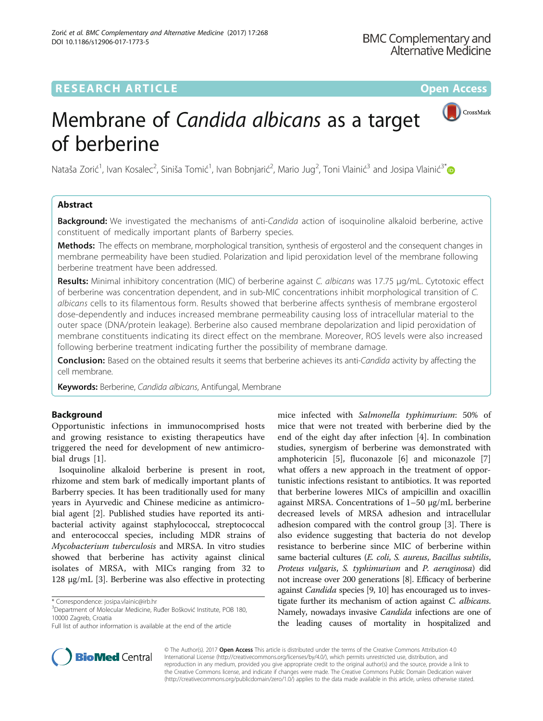# **RESEARCH ARTICLE External Structure Community Community Community Community Community Community Community Community**



# Membrane of Candida albicans as a target of berberine

Nataša Zorić<sup>1</sup>, Ivan Kosalec<sup>2</sup>, Siniša Tomić<sup>1</sup>, Ivan Bobnjarić<sup>2</sup>, Mario Jug<sup>2</sup>, Toni Vlainić<sup>3</sup> and Josipa Vlainić<sup>3[\\*](http://orcid.org/0000-0002-3113-420X)</sup>

# Abstract

**Background:** We investigated the mechanisms of anti-Candida action of isoquinoline alkaloid berberine, active constituent of medically important plants of Barberry species.

Methods: The effects on membrane, morphological transition, synthesis of ergosterol and the consequent changes in membrane permeability have been studied. Polarization and lipid peroxidation level of the membrane following berberine treatment have been addressed.

Results: Minimal inhibitory concentration (MIC) of berberine against C. albicans was 17.75 µg/mL. Cytotoxic effect of berberine was concentration dependent, and in sub-MIC concentrations inhibit morphological transition of C. albicans cells to its filamentous form. Results showed that berberine affects synthesis of membrane ergosterol dose-dependently and induces increased membrane permeability causing loss of intracellular material to the outer space (DNA/protein leakage). Berberine also caused membrane depolarization and lipid peroxidation of membrane constituents indicating its direct effect on the membrane. Moreover, ROS levels were also increased following berberine treatment indicating further the possibility of membrane damage.

Conclusion: Based on the obtained results it seems that berberine achieves its anti-Candida activity by affecting the cell membrane.

Keywords: Berberine, Candida albicans, Antifungal, Membrane

# Background

Opportunistic infections in immunocomprised hosts and growing resistance to existing therapeutics have triggered the need for development of new antimicrobial drugs [[1\]](#page-8-0).

Isoquinoline alkaloid berberine is present in root, rhizome and stem bark of medically important plants of Barberry species. It has been traditionally used for many years in Ayurvedic and Chinese medicine as antimicrobial agent [[2\]](#page-8-0). Published studies have reported its antibacterial activity against staphylococcal, streptococcal and enterococcal species, including MDR strains of Mycobacterium tuberculosis and MRSA. In vitro studies showed that berberine has activity against clinical isolates of MRSA, with MICs ranging from 32 to 128 μg/mL [[3\]](#page-8-0). Berberine was also effective in protecting

mice infected with Salmonella typhimurium: 50% of mice that were not treated with berberine died by the end of the eight day after infection [\[4](#page-8-0)]. In combination studies, synergism of berberine was demonstrated with amphotericin [\[5](#page-8-0)], fluconazole [[6\]](#page-8-0) and miconazole [\[7](#page-8-0)] what offers a new approach in the treatment of opportunistic infections resistant to antibiotics. It was reported that berberine loweres MICs of ampicillin and oxacillin against MRSA. Concentrations of 1–50 μg/mL berberine decreased levels of MRSA adhesion and intracellular adhesion compared with the control group [[3](#page-8-0)]. There is also evidence suggesting that bacteria do not develop resistance to berberine since MIC of berberine within same bacterial cultures (E. coli, S. aureus, Bacillus subtilis, Proteus vulgaris, S. typhimurium and P. aeruginosa) did not increase over 200 generations [\[8](#page-8-0)]. Efficacy of berberine against Candida species [\[9, 10\]](#page-8-0) has encouraged us to investigate further its mechanism of action against C. albicans. Namely, nowadays invasive Candida infections are one of the leading causes of mortality in hospitalized and



© The Author(s). 2017 **Open Access** This article is distributed under the terms of the Creative Commons Attribution 4.0 International License [\(http://creativecommons.org/licenses/by/4.0/](http://creativecommons.org/licenses/by/4.0/)), which permits unrestricted use, distribution, and reproduction in any medium, provided you give appropriate credit to the original author(s) and the source, provide a link to the Creative Commons license, and indicate if changes were made. The Creative Commons Public Domain Dedication waiver [\(http://creativecommons.org/publicdomain/zero/1.0/](http://creativecommons.org/publicdomain/zero/1.0/)) applies to the data made available in this article, unless otherwise stated.

<sup>\*</sup> Correspondence: [josipa.vlainic@irb.hr](mailto:josipa.vlainic@irb.hr) <sup>3</sup>

<sup>&</sup>lt;sup>3</sup>Department of Molecular Medicine, Ruđer Bošković Institute, POB 180, 10000 Zagreb, Croatia

Full list of author information is available at the end of the article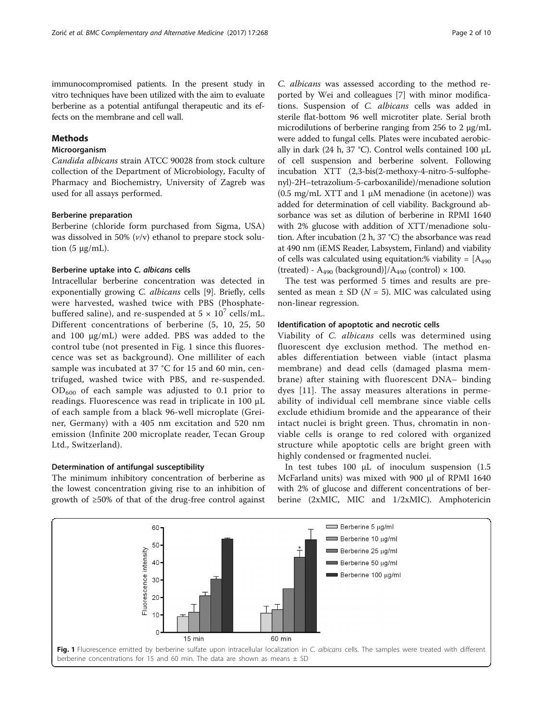<span id="page-1-0"></span>immunocompromised patients. In the present study in vitro techniques have been utilized with the aim to evaluate berberine as a potential antifungal therapeutic and its effects on the membrane and cell wall.

# Methods

# Microorganism

Candida albicans strain ATCC 90028 from stock culture collection of the Department of Microbiology, Faculty of Pharmacy and Biochemistry, University of Zagreb was used for all assays performed.

#### Berberine preparation

Berberine (chloride form purchased from Sigma, USA) was dissolved in 50%  $(v/v)$  ethanol to prepare stock solution  $(5 \mu g/mL)$ .

# Berberine uptake into C. albicans cells

Intracellular berberine concentration was detected in exponentially growing C. albicans cells [[9](#page-8-0)]. Briefly, cells were harvested, washed twice with PBS (Phosphatebuffered saline), and re-suspended at  $5 \times 10^7$  cells/mL. Different concentrations of berberine (5, 10, 25, 50 and 100 μg/mL) were added. PBS was added to the control tube (not presented in Fig. 1 since this fluorescence was set as background). One milliliter of each sample was incubated at 37 °C for 15 and 60 min, centrifuged, washed twice with PBS, and re-suspended.  $OD_{600}$  of each sample was adjusted to 0.1 prior to readings. Fluorescence was read in triplicate in 100 μL of each sample from a black 96-well microplate (Greiner, Germany) with a 405 nm excitation and 520 nm emission (Infinite 200 microplate reader, Tecan Group Ltd., Switzerland).

# Determination of antifungal susceptibility

The minimum inhibitory concentration of berberine as the lowest concentration giving rise to an inhibition of growth of ≥50% of that of the drug-free control against

C. albicans was assessed according to the method reported by Wei and colleagues [\[7](#page-8-0)] with minor modifications. Suspension of C. albicans cells was added in sterile flat-bottom 96 well microtiter plate. Serial broth microdilutions of berberine ranging from 256 to 2 μg/mL were added to fungal cells. Plates were incubated aerobically in dark (24 h, 37 °C). Control wells contained 100 μL of cell suspension and berberine solvent. Following incubation XTT (2,3-bis(2-methoxy-4-nitro-5-sulfophenyl)-2H–tetrazolium-5-carboxanilide)/menadione solution (0.5 mg/mL XTT and 1 μM menadione (in acetone)) was added for determination of cell viability. Background absorbance was set as dilution of berberine in RPMI 1640 with 2% glucose with addition of XTT/menadione solution. After incubation (2 h, 37 °C) the absorbance was read at 490 nm (iEMS Reader, Labsystem, Finland) and viability of cells was calculated using equitation:% viability =  $[A_{490}]$ (treated) -  $A_{490}$  (background)]/ $A_{490}$  (control)  $\times$  100.

The test was performed 5 times and results are presented as mean  $\pm$  SD ( $N = 5$ ). MIC was calculated using non-linear regression.

# Identification of apoptotic and necrotic cells

Viability of C. albicans cells was determined using fluorescent dye exclusion method. The method enables differentiation between viable (intact plasma membrane) and dead cells (damaged plasma membrane) after staining with fluorescent DNA– binding dyes [[11\]](#page-8-0). The assay measures alterations in permeability of individual cell membrane since viable cells exclude ethidium bromide and the appearance of their intact nuclei is bright green. Thus, chromatin in nonviable cells is orange to red colored with organized structure while apoptotic cells are bright green with highly condensed or fragmented nuclei.

In test tubes 100 μL of inoculum suspension (1.5 McFarland units) was mixed with 900 μl of RPMI 1640 with 2% of glucose and different concentrations of berberine (2xMIC, MIC and 1/2xMIC). Amphotericin

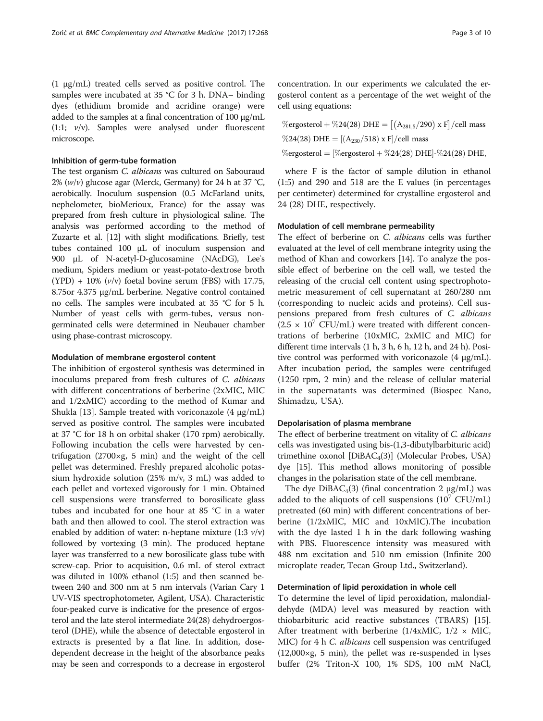(1 μg/mL) treated cells served as positive control. The samples were incubated at 35 °C for 3 h. DNA– binding dyes (ethidium bromide and acridine orange) were added to the samples at a final concentration of 100 μg/mL (1:1; v/v). Samples were analysed under fluorescent microscope.

## Inhibition of germ-tube formation

The test organism C. albicans was cultured on Sabouraud 2%  $(w/v)$  glucose agar (Merck, Germany) for 24 h at 37 °C, aerobically. Inoculum suspension (0.5 McFarland units, nephelometer, bioMerioux, France) for the assay was prepared from fresh culture in physiological saline. The analysis was performed according to the method of Zuzarte et al. [[12](#page-8-0)] with slight modifications. Briefly, test tubes contained 100 μL of inoculum suspension and 900 μL of N-acetyl-D-glucosamine (NAcDG), Leeʾs medium, Spiders medium or yeast-potato-dextrose broth  $(YPD) + 10\%$  ( $v/v$ ) foetal bovine serum (FBS) with 17.75, 8.75or 4.375 μg/mL berberine. Negative control contained no cells. The samples were incubated at 35 °C for 5 h. Number of yeast cells with germ-tubes, versus nongerminated cells were determined in Neubauer chamber using phase-contrast microscopy.

#### Modulation of membrane ergosterol content

The inhibition of ergosterol synthesis was determined in inoculums prepared from fresh cultures of C. albicans with different concentrations of berberine (2xMIC, MIC and 1/2xMIC) according to the method of Kumar and Shukla [\[13](#page-8-0)]. Sample treated with voriconazole (4 μg/mL) served as positive control. The samples were incubated at 37 °C for 18 h on orbital shaker (170 rpm) aerobically. Following incubation the cells were harvested by centrifugation (2700×g, 5 min) and the weight of the cell pellet was determined. Freshly prepared alcoholic potassium hydroxide solution (25% m/v, 3 mL) was added to each pellet and vortexed vigorously for 1 min. Obtained cell suspensions were transferred to borosilicate glass tubes and incubated for one hour at 85 °C in a water bath and then allowed to cool. The sterol extraction was enabled by addition of water: n-heptane mixture  $(1:3 \frac{v}{v})$ followed by vortexing (3 min). The produced heptane layer was transferred to a new borosilicate glass tube with screw-cap. Prior to acquisition, 0.6 mL of sterol extract was diluted in 100% ethanol (1:5) and then scanned between 240 and 300 nm at 5 nm intervals (Varian Cary 1 UV-VIS spectrophotometer, Agilent, USA). Characteristic four-peaked curve is indicative for the presence of ergosterol and the late sterol intermediate 24(28) dehydroergosterol (DHE), while the absence of detectable ergosterol in extracts is presented by a flat line. In addition, dosedependent decrease in the height of the absorbance peaks may be seen and corresponds to a decrease in ergosterol

concentration. In our experiments we calculated the ergosterol content as a percentage of the wet weight of the cell using equations:

| $\%$ ergosterol + $\%24(28)$ DHE = $ (A_{281.5}/290)$ x F $ /$ cell mass |
|--------------------------------------------------------------------------|
| %24(28) DHE = $[(A_{230}/518) \times F]/cell$ mass                       |
| $\%$ ergosterol = [ $\%$ ergosterol + $\%$ 24(28) DHE]- $\%$ 24(28) DHE, |

where F is the factor of sample dilution in ethanol (1:5) and 290 and 518 are the E values (in percentages per centimeter) determined for crystalline ergosterol and 24 (28) DHE, respectively.

## Modulation of cell membrane permeability

The effect of berberine on C. albicans cells was further evaluated at the level of cell membrane integrity using the method of Khan and coworkers [\[14\]](#page-8-0). To analyze the possible effect of berberine on the cell wall, we tested the releasing of the crucial cell content using spectrophotometric measurement of cell supernatant at 260/280 nm (corresponding to nucleic acids and proteins). Cell suspensions prepared from fresh cultures of C. albicans  $(2.5 \times 10^7 \text{ CFU/mL})$  were treated with different concentrations of berberine (10xMIC, 2xMIC and MIC) for different time intervals (1 h, 3 h, 6 h, 12 h, and 24 h). Positive control was performed with voriconazole (4 μg/mL). After incubation period, the samples were centrifuged (1250 rpm, 2 min) and the release of cellular material in the supernatants was determined (Biospec Nano, Shimadzu, USA).

# Depolarisation of plasma membrane

The effect of berberine treatment on vitality of C. albicans cells was investigated using bis-(1,3-dibutylbarbituric acid) trimethine oxonol  $[DiBAC_4(3)]$  (Molecular Probes, USA) dye [[15](#page-8-0)]. This method allows monitoring of possible changes in the polarisation state of the cell membrane.

The dye  $DiBAC<sub>4</sub>(3)$  (final concentration 2  $\mu$ g/mL) was added to the aliquots of cell suspensions  $(10^7 \text{ CFU/mL})$ pretreated (60 min) with different concentrations of berberine (1/2xMIC, MIC and 10xMIC).The incubation with the dye lasted 1 h in the dark following washing with PBS. Fluorescence intensity was measured with 488 nm excitation and 510 nm emission (Infinite 200 microplate reader, Tecan Group Ltd., Switzerland).

# Determination of lipid peroxidation in whole cell

To determine the level of lipid peroxidation, malondialdehyde (MDA) level was measured by reaction with thiobarbituric acid reactive substances (TBARS) [\[15](#page-8-0)]. After treatment with berberine  $(1/4xMIC, 1/2 \times MIC,$ MIC) for 4 h *C. albicans* cell suspension was centrifuged (12,000×g, 5 min), the pellet was re-suspended in lyses buffer (2% Triton-X 100, 1% SDS, 100 mM NaCl,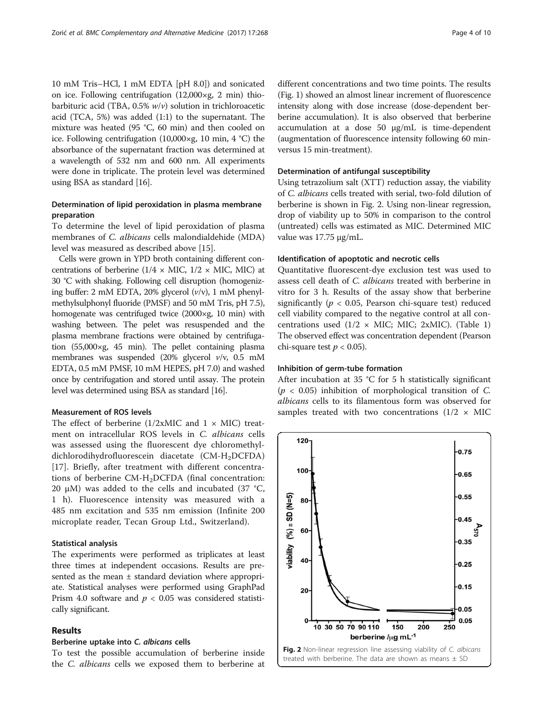10 mM Tris–HCl, 1 mM EDTA [pH 8.0]) and sonicated on ice. Following centrifugation (12,000×g, 2 min) thiobarbituric acid (TBA,  $0.5\%$   $w/v$ ) solution in trichloroacetic acid (TCA, 5%) was added (1:1) to the supernatant. The mixture was heated (95 °C, 60 min) and then cooled on ice. Following centrifugation (10,000×g, 10 min, 4 °C) the absorbance of the supernatant fraction was determined at a wavelength of 532 nm and 600 nm. All experiments were done in triplicate. The protein level was determined using BSA as standard [[16\]](#page-9-0).

# Determination of lipid peroxidation in plasma membrane preparation

To determine the level of lipid peroxidation of plasma membranes of C. albicans cells malondialdehide (MDA) level was measured as described above [\[15\]](#page-8-0).

Cells were grown in YPD broth containing different concentrations of berberine ( $1/4 \times$  MIC,  $1/2 \times$  MIC, MIC) at 30 °C with shaking. Following cell disruption (homogenizing buffer: 2 mM EDTA, 20% glycerol  $(v/v)$ , 1 mM phenylmethylsulphonyl fluoride (PMSF) and 50 mM Tris, pH 7.5), homogenate was centrifuged twice (2000×g, 10 min) with washing between. The pelet was resuspended and the plasma membrane fractions were obtained by centrifugation (55,000×g, 45 min). The pellet containing plasma membranes was suspended (20% glycerol v/v, 0.5 mM EDTA, 0.5 mM PMSF, 10 mM HEPES, pH 7.0) and washed once by centrifugation and stored until assay. The protein level was determined using BSA as standard [[16](#page-9-0)].

# Measurement of ROS levels

The effect of berberine  $(1/2xMIC$  and  $1 \times MIC)$  treatment on intracellular ROS levels in C. albicans cells was assessed using the fluorescent dye chloromethyldichlorodihydrofluorescein diacetate (CM-H<sub>2</sub>DCFDA) [[17\]](#page-9-0). Briefly, after treatment with different concentrations of berberine CM-H<sub>2</sub>DCFDA (final concentration: 20 μM) was added to the cells and incubated (37 °C, 1 h). Fluorescence intensity was measured with a 485 nm excitation and 535 nm emission (Infinite 200 microplate reader, Tecan Group Ltd., Switzerland).

# Statistical analysis

The experiments were performed as triplicates at least three times at independent occasions. Results are presented as the mean  $\pm$  standard deviation where appropriate. Statistical analyses were performed using GraphPad Prism 4.0 software and  $p < 0.05$  was considered statistically significant.

# Results

# Berberine uptake into C. albicans cells

To test the possible accumulation of berberine inside the C. albicans cells we exposed them to berberine at

different concentrations and two time points. The results (Fig. [1](#page-1-0)) showed an almost linear increment of fluorescence intensity along with dose increase (dose-dependent berberine accumulation). It is also observed that berberine accumulation at a dose 50 μg/mL is time-dependent (augmentation of fluorescence intensity following 60 minversus 15 min-treatment).

## Determination of antifungal susceptibility

Using tetrazolium salt (XTT) reduction assay, the viability of C. albicans cells treated with serial, two-fold dilution of berberine is shown in Fig. 2. Using non-linear regression, drop of viability up to 50% in comparison to the control (untreated) cells was estimated as MIC. Determined MIC value was 17.75 μg/mL.

# Identification of apoptotic and necrotic cells

Quantitative fluorescent-dye exclusion test was used to assess cell death of C. albicans treated with berberine in vitro for 3 h. Results of the assay show that berberine significantly ( $p < 0.05$ , Pearson chi-square test) reduced cell viability compared to the negative control at all concentrations used  $(1/2 \times$  MIC; MIC; 2xMIC). (Table [1](#page-4-0)) The observed effect was concentration dependent (Pearson chi-square test  $p < 0.05$ ).

# Inhibition of germ-tube formation

After incubation at 35 °C for 5 h statistically significant  $(p < 0.05)$  inhibition of morphological transition of C. albicans cells to its filamentous form was observed for samples treated with two concentrations  $(1/2 \times MIC$ 

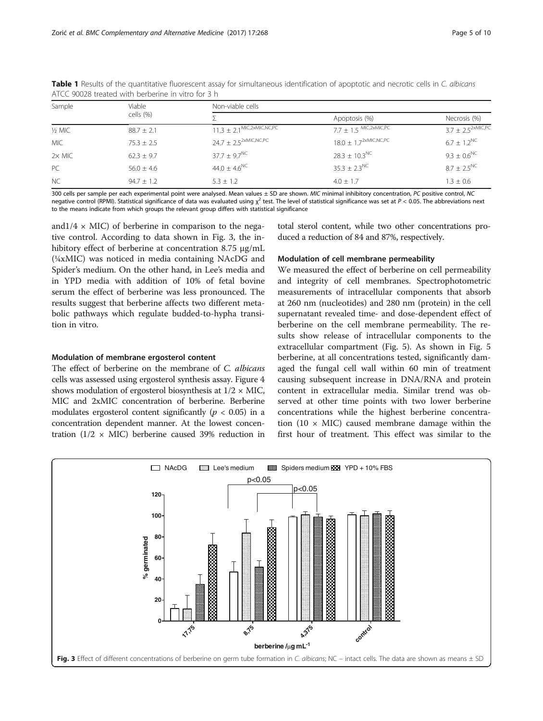| Sample        | Viable<br>cells (%) | Non-viable cells                          |                                       |                          |
|---------------|---------------------|-------------------------------------------|---------------------------------------|--------------------------|
|               |                     |                                           | Apoptosis (%)                         | Necrosis (%)             |
| $1/2$ MIC     | $88.7 + 2.1$        | $11.3 \pm 2.1$ <sup>MIC,2xMIC,NC,PC</sup> | $7.7 \pm 1.5$ MIC, $2 \times$ MIC, PC | $3.7 \pm 2.5^{2xMIC,PC}$ |
| <b>MIC</b>    | $75.3 + 2.5$        | $24.7 \pm 2.5^{2xMIC,NC,PC}$              | $18.0 \pm 1.7^{2 \times MIC, NC, PC}$ | $6.7 + 1.2^{\text{NC}}$  |
| $2\times$ MIC | $62.3 + 9.7$        | $37.7 + 9.7^{\text{NC}}$                  | $28.3 + 10.3^{\text{NC}}$             | $9.3 + 0.6^{\text{NC}}$  |
| PC            | $56.0 \pm 4.6$      | $44.0 + 4.6^{\text{NC}}$                  | $35.3 \pm 2.3$ <sup>NC</sup>          | $87 + 25^{\text{NC}}$    |
| <b>NC</b>     | $94.7 + 1.2$        | $5.3 + 1.2$                               | $4.0 + 1.7$                           | $1.3 \pm 0.6$            |

<span id="page-4-0"></span>Table 1 Results of the quantitative fluorescent assay for simultaneous identification of apoptotic and necrotic cells in C. albicans ATCC 90028 treated with berberine in vitro for 3 h

300 cells per sample per each experimental point were analysed. Mean values  $\pm$  SD are shown. MIC minimal inhibitory concentration, PC positive control, NC negative control (RPMI). Statistical significance of data was evaluated using  $\chi^2$  test. The level of statistical significance was set at  $P < 0.05$ . The abbreviations next to the means indicate from which groups the relevant group differs with statistical significance

and $1/4 \times$  MIC) of berberine in comparison to the negative control. According to data shown in Fig. 3, the inhibitory effect of berberine at concentration 8.75 μg/mL (¼xMIC) was noticed in media containing NAcDG and Spider's medium. On the other hand, in Lee's media and in YPD media with addition of 10% of fetal bovine serum the effect of berberine was less pronounced. The results suggest that berberine affects two different metabolic pathways which regulate budded-to-hypha transition in vitro.

#### Modulation of membrane ergosterol content

The effect of berberine on the membrane of C. albicans cells was assessed using ergosterol synthesis assay. Figure [4](#page-5-0) shows modulation of ergosterol biosynthesis at  $1/2 \times$  MIC, MIC and 2xMIC concentration of berberine. Berberine modulates ergosterol content significantly ( $p < 0.05$ ) in a concentration dependent manner. At the lowest concentration ( $1/2 \times$  MIC) berberine caused 39% reduction in total sterol content, while two other concentrations produced a reduction of 84 and 87%, respectively.

## Modulation of cell membrane permeability

We measured the effect of berberine on cell permeability and integrity of cell membranes. Spectrophotometric measurements of intracellular components that absorb at 260 nm (nucleotides) and 280 nm (protein) in the cell supernatant revealed time- and dose-dependent effect of berberine on the cell membrane permeability. The results show release of intracellular components to the extracellular compartment (Fig. [5](#page-6-0)). As shown in Fig. [5](#page-6-0) berberine, at all concentrations tested, significantly damaged the fungal cell wall within 60 min of treatment causing subsequent increase in DNA/RNA and protein content in extracellular media. Similar trend was observed at other time points with two lower berberine concentrations while the highest berberine concentration (10  $\times$  MIC) caused membrane damage within the first hour of treatment. This effect was similar to the

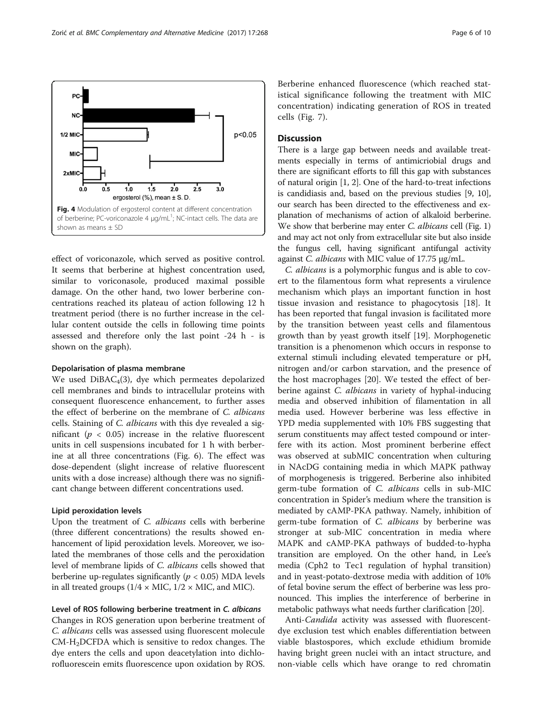effect of voriconazole, which served as positive control. It seems that berberine at highest concentration used, similar to voriconasole, produced maximal possible damage. On the other hand, two lower berberine concentrations reached its plateau of action following 12 h treatment period (there is no further increase in the cellular content outside the cells in following time points assessed and therefore only the last point -24 h - is shown on the graph).

## Depolarisation of plasma membrane

We used  $DiBAC<sub>4</sub>(3)$ , dye which permeates depolarized cell membranes and binds to intracellular proteins with consequent fluorescence enhancement, to further asses the effect of berberine on the membrane of C. albicans cells. Staining of C. albicans with this dye revealed a significant ( $p < 0.05$ ) increase in the relative fluorescent units in cell suspensions incubated for 1 h with berberine at all three concentrations (Fig. [6\)](#page-7-0). The effect was dose-dependent (slight increase of relative fluorescent units with a dose increase) although there was no significant change between different concentrations used.

# Lipid peroxidation levels

Upon the treatment of C. albicans cells with berberine (three different concentrations) the results showed enhancement of lipid peroxidation levels. Moreover, we isolated the membranes of those cells and the peroxidation level of membrane lipids of C. albicans cells showed that berberine up-regulates significantly ( $p < 0.05$ ) MDA levels in all treated groups  $(1/4 \times$  MIC,  $1/2 \times$  MIC, and MIC).

Level of ROS following berberine treatment in C. albicans

Changes in ROS generation upon berberine treatment of C. albicans cells was assessed using fluorescent molecule CM-H2DCFDA which is sensitive to redox changes. The dye enters the cells and upon deacetylation into dichlorofluorescein emits fluorescence upon oxidation by ROS.

Berberine enhanced fluorescence (which reached statistical significance following the treatment with MIC concentration) indicating generation of ROS in treated cells (Fig. [7\)](#page-7-0).

# **Discussion**

There is a large gap between needs and available treatments especially in terms of antimicriobial drugs and there are significant efforts to fill this gap with substances of natural origin [\[1](#page-8-0), [2\]](#page-8-0). One of the hard-to-treat infections is candidiasis and, based on the previous studies [[9, 10](#page-8-0)], our search has been directed to the effectiveness and explanation of mechanisms of action of alkaloid berberine. We show that berberine may enter  $C$ . albicans cell (Fig. [1](#page-1-0)) and may act not only from extracellular site but also inside the fungus cell, having significant antifungal activity against C. albicans with MIC value of 17.75 μg/mL.

C. albicans is a polymorphic fungus and is able to covert to the filamentous form what represents a virulence mechanism which plays an important function in host tissue invasion and resistance to phagocytosis [[18\]](#page-9-0). It has been reported that fungal invasion is facilitated more by the transition between yeast cells and filamentous growth than by yeast growth itself [[19\]](#page-9-0). Morphogenetic transition is a phenomenon which occurs in response to external stimuli including elevated temperature or pH, nitrogen and/or carbon starvation, and the presence of the host macrophages [[20\]](#page-9-0). We tested the effect of berberine against *C. albicans* in variety of hyphal-inducing media and observed inhibition of filamentation in all media used. However berberine was less effective in YPD media supplemented with 10% FBS suggesting that serum constituents may affect tested compound or interfere with its action. Most prominent berberine effect was observed at subMIC concentration when culturing in NAcDG containing media in which MAPK pathway of morphogenesis is triggered. Berberine also inhibited germ-tube formation of C. albicans cells in sub-MIC concentration in Spider's medium where the transition is mediated by cAMP-PKA pathway. Namely, inhibition of germ-tube formation of C. albicans by berberine was stronger at sub-MIC concentration in media where MAPK and cAMP-PKA pathways of budded-to-hypha transition are employed. On the other hand, in Lee's media (Cph2 to Tec1 regulation of hyphal transition) and in yeast-potato-dextrose media with addition of 10% of fetal bovine serum the effect of berberine was less pronounced. This implies the interference of berberine in metabolic pathways what needs further clarification [\[20](#page-9-0)].

Anti-Candida activity was assessed with fluorescentdye exclusion test which enables differentiation between viable blastospores, which exclude ethidium bromide having bright green nuclei with an intact structure, and non-viable cells which have orange to red chromatin

<span id="page-5-0"></span>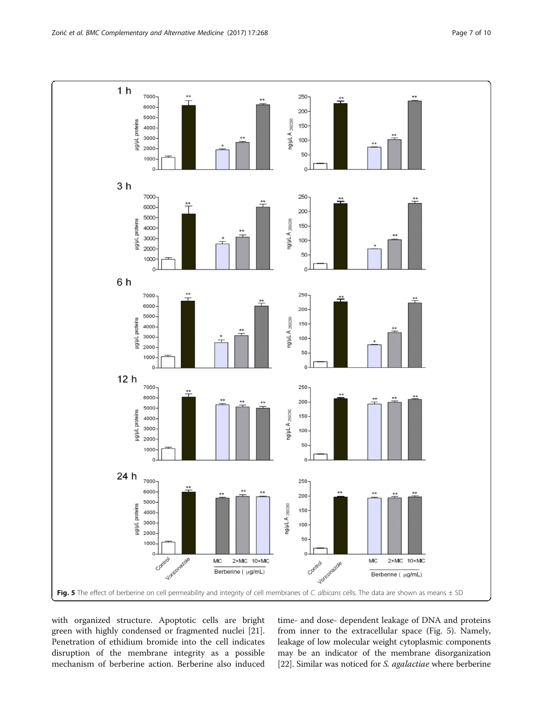<span id="page-6-0"></span>

with organized structure. Apoptotic cells are bright green with highly condensed or fragmented nuclei [\[21](#page-9-0)]. Penetration of ethidium bromide into the cell indicates disruption of the membrane integrity as a possible mechanism of berberine action. Berberine also induced time- and dose- dependent leakage of DNA and proteins from inner to the extracellular space (Fig. 5). Namely, leakage of low molecular weight cytoplasmic components may be an indicator of the membrane disorganization [[22](#page-9-0)]. Similar was noticed for S. agalactiae where berberine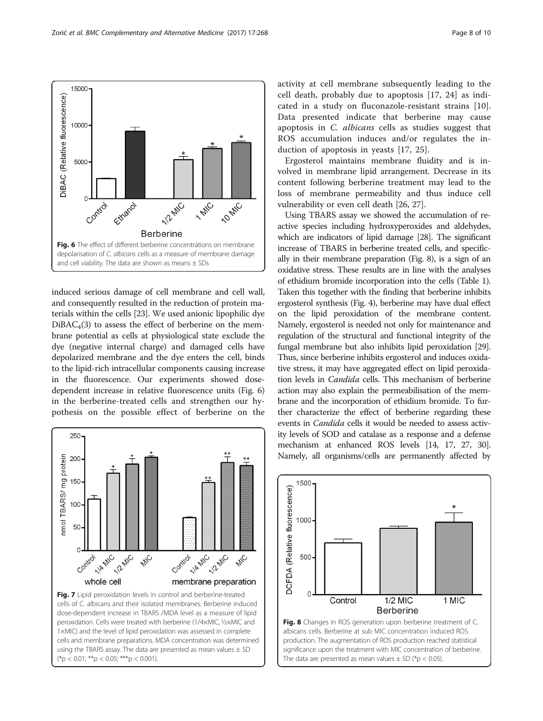induced serious damage of cell membrane and cell wall, and consequently resulted in the reduction of protein materials within the cells [[23](#page-9-0)]. We used anionic lipophilic dye  $DiBAC<sub>4</sub>(3)$  to assess the effect of berberine on the membrane potential as cells at physiological state exclude the dye (negative internal charge) and damaged cells have depolarized membrane and the dye enters the cell, binds to the lipid-rich intracellular components causing increase in the fluorescence. Our experiments showed dosedependent increase in relative fluorescence units (Fig. 6) in the berberine-treated cells and strengthen our hypothesis on the possible effect of berberine on the

250

200

150

100

50

 $\Omega$ 

Control

**SILARIES** 

whole cell

C Walle

**ANG** 

nmol TBARS/ mg protein

<span id="page-7-0"></span>

activity at cell membrane subsequently leading to the cell death, probably due to apoptosis [\[17](#page-9-0), [24\]](#page-9-0) as indicated in a study on fluconazole-resistant strains [\[10](#page-8-0)]. Data presented indicate that berberine may cause apoptosis in C. albicans cells as studies suggest that ROS accumulation induces and/or regulates the induction of apoptosis in yeasts [[17, 25\]](#page-9-0).

Ergosterol maintains membrane fluidity and is involved in membrane lipid arrangement. Decrease in its content following berberine treatment may lead to the loss of membrane permeability and thus induce cell vulnerability or even cell death [\[26](#page-9-0), [27\]](#page-9-0).

Using TBARS assay we showed the accumulation of reactive species including hydroxyperoxides and aldehydes, which are indicators of lipid damage [[28](#page-9-0)]. The significant increase of TBARS in berberine treated cells, and specifically in their membrane preparation (Fig. 8), is a sign of an oxidative stress. These results are in line with the analyses of ethidium bromide incorporation into the cells (Table [1](#page-4-0)). Taken this together with the finding that berberine inhibits ergosterol synthesis (Fig. [4](#page-5-0)), berberine may have dual effect on the lipid peroxidation of the membrane content. Namely, ergosterol is needed not only for maintenance and regulation of the structural and functional integrity of the fungal membrane but also inhibits lipid peroxidation [\[29](#page-9-0)]. Thus, since berberine inhibits ergosterol and induces oxidative stress, it may have aggregated effect on lipid peroxidation levels in Candida cells. This mechanism of berberine action may also explain the permeabilisation of the membrane and the incorporation of ethidium bromide. To further characterize the effect of berberine regarding these events in Candida cells it would be needed to assess activity levels of SOD and catalase as a response and a defense mechanism at enhanced ROS levels [\[14](#page-8-0), [17](#page-9-0), [27](#page-9-0), [30](#page-9-0)]. Namely, all organisms/cells are permanently affected by





**NAME** 

Control

LIZ MIC

membrane preparation

**ANC** 

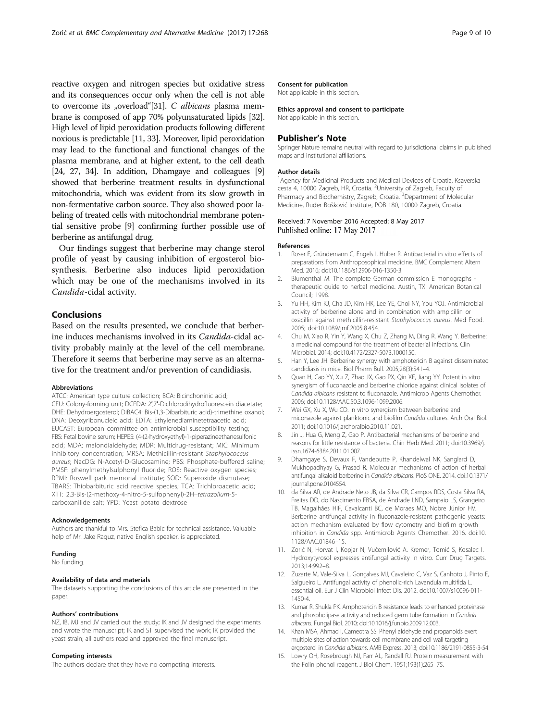<span id="page-8-0"></span>reactive oxygen and nitrogen species but oxidative stress and its consequences occur only when the cell is not able to overcome its "overload"[[31](#page-9-0)]. C albicans plasma membrane is composed of app 70% polyunsaturated lipids [\[32](#page-9-0)]. High level of lipid peroxidation products following different noxious is predictable [11, [33](#page-9-0)]. Moreover, lipid peroxidation may lead to the functional and functional changes of the plasma membrane, and at higher extent, to the cell death [[24](#page-9-0), [27](#page-9-0), [34](#page-9-0)]. In addition, Dhamgaye and colleagues [9] showed that berberine treatment results in dysfunctional mitochondria, which was evident from its slow growth in non-fermentative carbon source. They also showed poor labeling of treated cells with mitochondrial membrane potential sensitive probe [9] confirming further possible use of berberine as antifungal drug.

Our findings suggest that berberine may change sterol profile of yeast by causing inhibition of ergosterol biosynthesis. Berberine also induces lipid peroxidation which may be one of the mechanisms involved in its Candida-cidal activity.

# Conclusions

Based on the results presented, we conclude that berberine induces mechanisms involved in its Candida-cidal activity probably mainly at the level of the cell membrane. Therefore it seems that berberine may serve as an alternative for the treatment and/or prevention of candidiasis.

#### Abbreviations

ATCC: American type culture collection; BCA: Bicinchoninic acid; CFU: Colony-forming unit; DCFDA: 2′,7′-Dichlorodihydrofluorescein diacetate; DHE: Dehydroergosterol; DiBAC4: Bis-(1,3-Dibarbituric acid)-trimethine oxanol; DNA: Deoxyribonucleic acid; EDTA: Ethylenediaminetetraacetic acid; EUCAST: European committee on antimicrobial susceptibility testing; FBS: Fetal bovine serum; HEPES: (4-(2-hydroxyethyl)-1-piperazineethanesulfonic acid; MDA: malondialdehyde; MDR: Multidrug-resistant; MIC: Minimum inhibitory concentration; MRSA: Methicillin-resistant Staphylococcus aureus; NacDG: N-Acetyl-D-Glucosamine; PBS: Phosphate-buffered saline; PMSF: phenylmethylsulphonyl fluoride; ROS: Reactive oxygen species; RPMI: Roswell park memorial institute; SOD: Superoxide dismutase; TBARS: Thiobarbituric acid reactive species; TCA: Trichloroacetic acid; XTT: 2,3-Bis-(2-methoxy-4-nitro-5-sulfophenyl)-2H–tetrazolium-5 carboxanilide salt; YPD: Yeast potato dextrose

#### Acknowledgements

Authors are thankful to Mrs. Stefica Babic for technical assistance. Valuable help of Mr. Jake Raguz, native English speaker, is appreciated.

#### Funding

No funding.

#### Availability of data and materials

The datasets supporting the conclusions of this article are presented in the paper.

#### Authors' contributions

NZ, IB, MJ and JV carried out the study; IK and JV designed the experiments and wrote the manuscript; IK and ST supervised the work; IK provided the yeast strain; all authors read and approved the final manuscript.

# Competing interests

The authors declare that they have no competing interests.

# Consent for publication

Not applicable in this section.

#### Ethics approval and consent to participate

Not applicable in this section.

#### Publisher's Note

Springer Nature remains neutral with regard to jurisdictional claims in published maps and institutional affiliations.

#### Author details

<sup>1</sup> Agency for Medicinal Products and Medical Devices of Croatia, Ksaverska cesta 4, 10000 Zagreb, HR, Croatia. <sup>2</sup>University of Zagreb, Faculty of Pharmacy and Biochemistry, Zagreb, Croatia.<sup>3</sup> Department of Molecular Medicine, Ruđer Bošković Institute, POB 180, 10000 Zagreb, Croatia.

#### Received: 7 November 2016 Accepted: 8 May 2017 Published online: 17 May 2017

#### References

- Roser E, Gründemann C, Engels I, Huber R. Antibacterial in vitro effects of preparations from Anthroposophical medicine. BMC Complement Altern Med. 2016; doi[:10.1186/s12906-016-1350-3](http://dx.doi.org/10.1186/s12906-016-1350-3).
- 2. Blumenthal M. The complete German commission E monographs therapeutic guide to herbal medicine. Austin, TX: American Botanical Council; 1998.
- 3. Yu HH, Kim KJ, Cha JD, Kim HK, Lee YE, Choi NY, You YOJ. Antimicrobial activity of berberine alone and in combination with ampicillin or oxacillin against methicillin-resistant Staphylococcus aureus. Med Food. 2005; doi:[10.1089/jmf.2005.8.454.](http://dx.doi.org/10.1089/jmf.2005.8.454)
- 4. Chu M, Xiao R, Yin Y, Wang X, Chu Z, Zhang M, Ding R, Wang Y. Berberine: a medicinal compound for the treatment of bacterial infections. Clin Microbial. 2014; doi[:10.4172/2327-5073.1000150.](http://dx.doi.org/10.4172/2327-5073.1000150)
- 5. Han Y, Lee JH. Berberine synergy with amphotericin B against disseminated candidiasis in mice. Biol Pharm Bull. 2005;28(3):541–4.
- 6. Quan H, Cao YY, Xu Z, Zhao JX, Gao PX, Qin XF, Jiang YY. Potent in vitro synergism of fluconazole and berberine chloride against clinical isolates of Candida albicans resistant to fluconazole. Antimicrob Agents Chemother. 2006; doi[:10.1128/AAC.50.3.1096-1099.2006](http://dx.doi.org/10.1128/AAC.50.3.1096-1099.2006).
- 7. Wei GX, Xu X, Wu CD. In vitro synergism between berberine and miconazole against planktonic and biofilm Candida cultures. Arch Oral Biol. 2011; doi[:10.1016/j.archoralbio.2010.11.021.](http://dx.doi.org/10.1016/j.archoralbio.2010.11.021)
- 8. Jin J, Hua G, Meng Z, Gao P. Antibacterial mechanisms of berberine and reasons for little resistance of bacteria. Chin Herb Med. 2011; doi[:10.3969/j.](http://dx.doi.org/10.3969/j.issn.1674-6384.2011.01.007) [issn.1674-6384.2011.01.007](http://dx.doi.org/10.3969/j.issn.1674-6384.2011.01.007).
- 9. Dhamgaye S, Devaux F, Vandeputte P, Khandelwal NK, Sanglard D, Mukhopadhyay G, Prasad R. Molecular mechanisms of action of herbal antifungal alkaloid berberine in Candida albicans. PloS ONE. 2014. doi:[10.1371/](http://dx.doi.org/10.1371/journal.pone.0104554) [journal.pone.0104554.](http://dx.doi.org/10.1371/journal.pone.0104554)
- 10. da Silva AR, de Andrade Neto JB, da Silva CR, Campos RDS, Costa Silva RA, Freitas DD, do Nascimento FBSA, de Andrade LND, Sampaio LS, Grangeiro TB, Magalhães HIF, Cavalcanti BC, de Moraes MO, Nobre Júnior HV. Berberine antifungal activity in fluconazole-resistant pathogenic yeasts: action mechanism evaluated by flow cytometry and biofilm growth inhibition in Candida spp. Antimicrob Agents Chemother. 2016. doi:[10.](http://dx.doi.org/10.1128/AAC.0184615) [1128/AAC.01846](http://dx.doi.org/10.1128/AAC.0184615)–15.
- 11. Zorić N, Horvat I, Kopjar N, Vučemilović A. Kremer, Tomić S, Kosalec I. Hydroxytyrosol expresses antifungal activity in vitro. Curr Drug Targets. 2013;14:992–8.
- 12. Zuzarte M, Vale-Silva L, Gonçalves MJ, Cavaleiro C, Vaz S, Canhoto J, Pinto E, Salgueiro L. Antifungal activity of phenolic-rich Lavandula multifida L. essential oil. Eur J Clin Microbiol Infect Dis. 2012. doi:[10.1007/s10096-011-](http://dx.doi.org/10.1007/s10096-011-1450-4) [1450-4.](http://dx.doi.org/10.1007/s10096-011-1450-4)
- 13. Kumar R, Shukla PK. Amphotericin B resistance leads to enhanced proteinase and phospholipase activity and reduced germ tube formation in Candida albicans. Fungal Biol. 2010; doi[:10.1016/j.funbio.2009.12.003](http://dx.doi.org/10.1016/j.funbio.2009.12.003).
- 14. Khan MSA, Ahmad I, Cameotra SS. Phenyl aldehyde and propanoids exert multiple sites of action towards cell membrane and cell wall targeting ergosterol in Candida albicans. AMB Express. 2013; doi:[10.1186/2191-0855-3-54.](http://dx.doi.org/10.1186/2191-0855-3-54)
- 15. Lowry OH, Rosebrough NJ, Farr AL, Randall RJ. Protein measurement with the Folin phenol reagent. J Biol Chem. 1951;193(1):265–75.